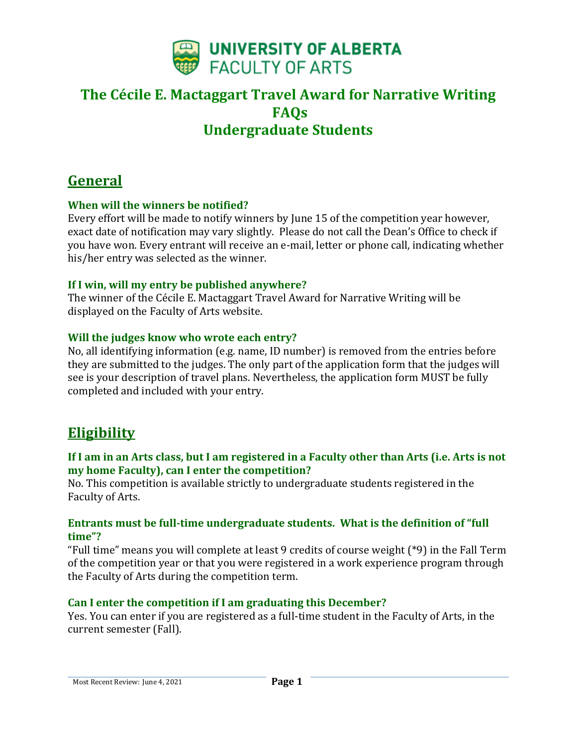

# **General**

# **When will the winners be notified?**

Every effort will be made to notify winners by June 15 of the competition year however, exact date of notification may vary slightly. Please do not call the Dean's Office to check if you have won. Every entrant will receive an e-mail, letter or phone call, indicating whether his/her entry was selected as the winner.

## **If I win, will my entry be published anywhere?**

The winner of the Cécile E. Mactaggart Travel Award for Narrative Writing will be displayed on the Faculty of Arts website.

## **Will the judges know who wrote each entry?**

No, all identifying information (e.g. name, ID number) is removed from the entries before they are submitted to the judges. The only part of the application form that the judges will see is your description of travel plans. Nevertheless, the application form MUST be fully completed and included with your entry.

# **Eligibility**

# **If I am in an Arts class, but I am registered in a Faculty other than Arts (i.e. Arts is not my home Faculty), can I enter the competition?**

No. This competition is available strictly to undergraduate students registered in the Faculty of Arts.

## **Entrants must be full-time undergraduate students. What is the definition of "full time"?**

"Full time" means you will complete at least 9 credits of course weight (\*9) in the Fall Term of the competition year or that you were registered in a work experience program through the Faculty of Arts during the competition term.

## **Can I enter the competition if I am graduating this December?**

Yes. You can enter if you are registered as a full-time student in the Faculty of Arts, in the current semester (Fall).

Most Recent Review: June 4, 2021 **Page 1**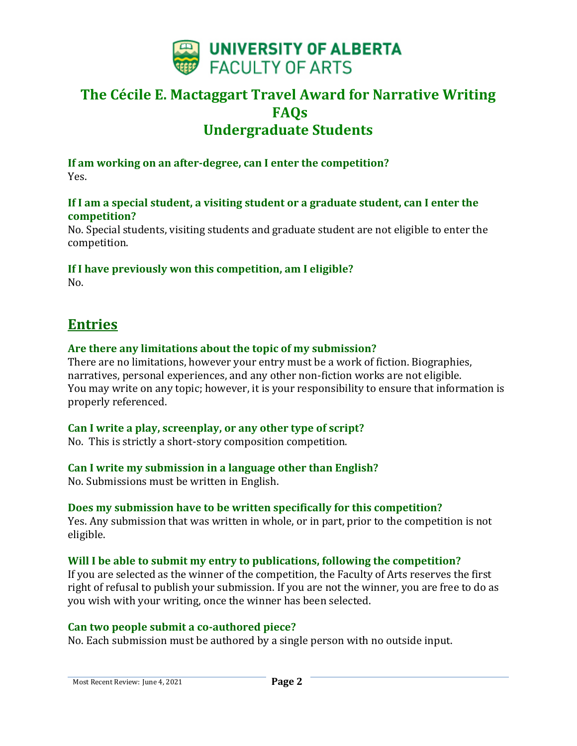

**If am working on an after-degree, can I enter the competition?** Yes.

#### **If I am a special student, a visiting student or a graduate student, can I enter the competition?**

No. Special students, visiting students and graduate student are not eligible to enter the competition.

# **If I have previously won this competition, am I eligible?**

 $No.$ 

# **Entries**

## **Are there any limitations about the topic of my submission?**

There are no limitations, however your entry must be a work of fiction. Biographies, narratives, personal experiences, and any other non-fiction works are not eligible. You may write on any topic; however, it is your responsibility to ensure that information is properly referenced.

## **Can I write a play, screenplay, or any other type of script?**

No. This is strictly a short-story composition competition.

## **Can I write my submission in a language other than English?**

No. Submissions must be written in English.

## **Does my submission have to be written specifically for this competition?**

Yes. Any submission that was written in whole, or in part, prior to the competition is not eligible.

## **Will I be able to submit my entry to publications, following the competition?**

If you are selected as the winner of the competition, the Faculty of Arts reserves the first right of refusal to publish your submission. If you are not the winner, you are free to do as you wish with your writing, once the winner has been selected.

## **Can two people submit a co-authored piece?**

No. Each submission must be authored by a single person with no outside input.

Most Recent Review: June 4, 2021 **Page 2**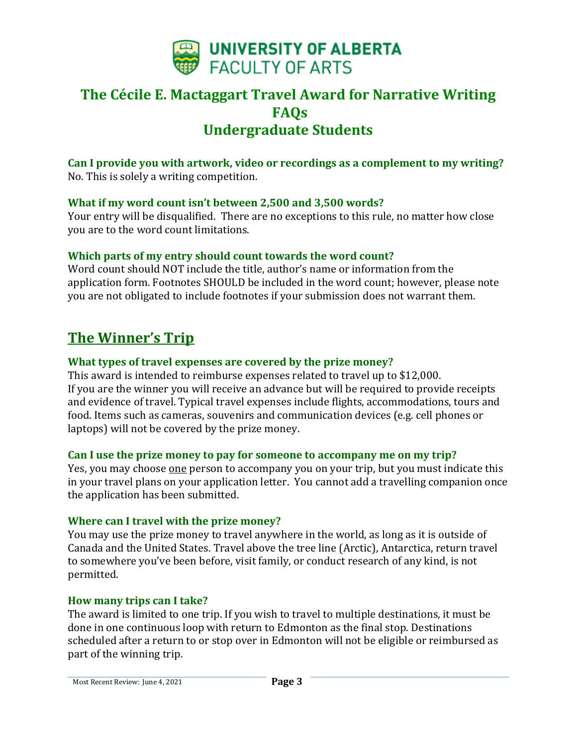

**Can I provide you with artwork, video or recordings as a complement to my writing?** No. This is solely a writing competition.

#### **What if my word count isn't between 2,500 and 3,500 words?**

Your entry will be disqualified. There are no exceptions to this rule, no matter how close you are to the word count limitations.

#### **Which parts of my entry should count towards the word count?**

Word count should NOT include the title, author's name or information from the application form. Footnotes SHOULD be included in the word count; however, please note you are not obligated to include footnotes if your submission does not warrant them.

# **The Winner's Trip**

#### **What types of travel expenses are covered by the prize money?**

This award is intended to reimburse expenses related to travel up to \$12,000. If you are the winner you will receive an advance but will be required to provide receipts and evidence of travel. Typical travel expenses include flights, accommodations, tours and food. Items such as cameras, souvenirs and communication devices (e.g. cell phones or laptops) will not be covered by the prize money.

#### **Can I use the prize money to pay for someone to accompany me on my trip?**

Yes, you may choose one person to accompany you on your trip, but you must indicate this in your travel plans on your application letter. You cannot add a travelling companion once the application has been submitted.

#### **Where can I travel with the prize money?**

You may use the prize money to travel anywhere in the world, as long as it is outside of Canada and the United States. Travel above the tree line (Arctic), Antarctica, return travel to somewhere you've been before, visit family, or conduct research of any kind, is not permitted.

#### **How many trips can I take?**

The award is limited to one trip. If you wish to travel to multiple destinations, it must be done in one continuous loop with return to Edmonton as the final stop. Destinations scheduled after a return to or stop over in Edmonton will not be eligible or reimbursed as part of the winning trip.